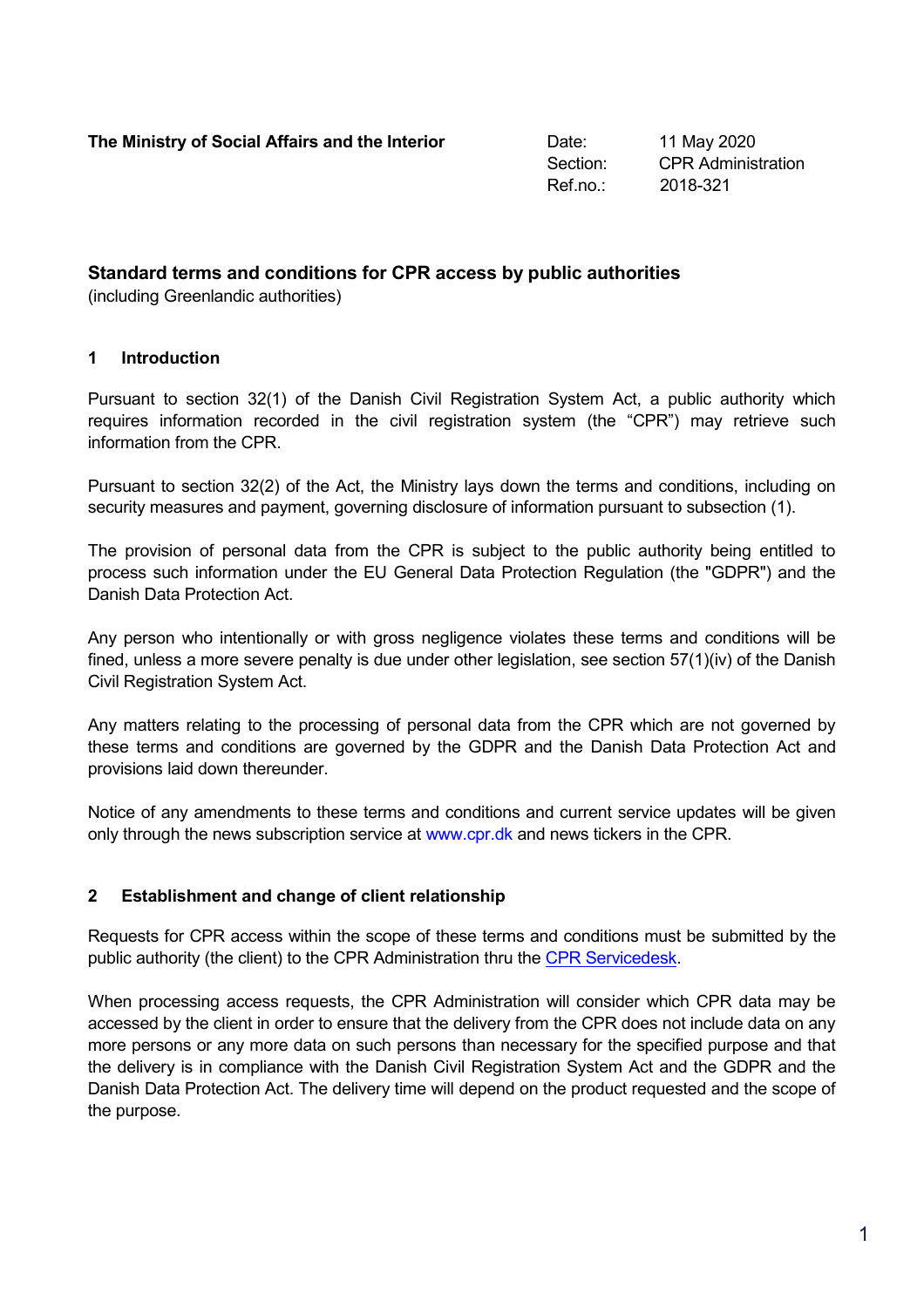Section: CPR Administration Ref.no.: 2018-321

# **Standard terms and conditions for CPR access by public authorities**

(including Greenlandic authorities)

### **1 Introduction**

Pursuant to section 32(1) of the Danish Civil Registration System Act, a public authority which requires information recorded in the civil registration system (the "CPR") may retrieve such information from the CPR.

Pursuant to section 32(2) of the Act, the Ministry lays down the terms and conditions, including on security measures and payment, governing disclosure of information pursuant to subsection (1).

The provision of personal data from the CPR is subject to the public authority being entitled to process such information under the EU General Data Protection Regulation (the "GDPR") and the Danish Data Protection Act.

Any person who intentionally or with gross negligence violates these terms and conditions will be fined, unless a more severe penalty is due under other legislation, see section 57(1)(iv) of the Danish Civil Registration System Act.

Any matters relating to the processing of personal data from the CPR which are not governed by these terms and conditions are governed by the GDPR and the Danish Data Protection Act and provisions laid down thereunder.

Notice of any amendments to these terms and conditions and current service updates will be given only through the news subscription service at [www.cpr.dk](http://www.cpr.dk/) and news tickers in the CPR.

## **2 Establishment and change of client relationship**

Requests for CPR access within the scope of these terms and conditions must be submitted by the public authority (the client) to the CPR Administration thru the [CPR Servicedesk.](https://cpr.dk/sd)

When processing access requests, the CPR Administration will consider which CPR data may be accessed by the client in order to ensure that the delivery from the CPR does not include data on any more persons or any more data on such persons than necessary for the specified purpose and that the delivery is in compliance with the Danish Civil Registration System Act and the GDPR and the Danish Data Protection Act. The delivery time will depend on the product requested and the scope of the purpose.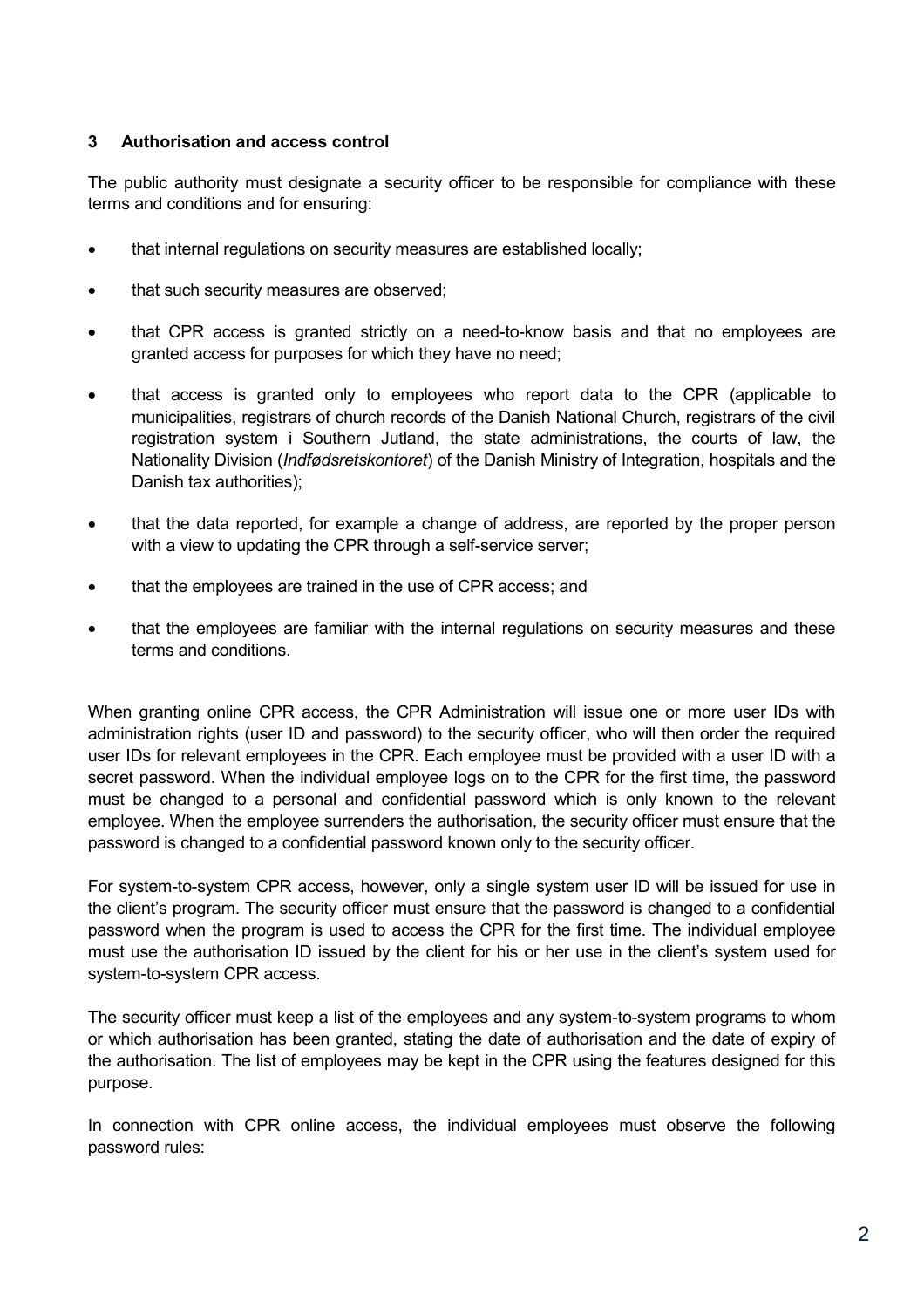### **3 Authorisation and access control**

The public authority must designate a security officer to be responsible for compliance with these terms and conditions and for ensuring:

- that internal regulations on security measures are established locally;
- that such security measures are observed;
- that CPR access is granted strictly on a need-to-know basis and that no employees are granted access for purposes for which they have no need;
- that access is granted only to employees who report data to the CPR (applicable to municipalities, registrars of church records of the Danish National Church, registrars of the civil registration system i Southern Jutland, the state administrations, the courts of law, the Nationality Division (*Indfødsretskontoret*) of the Danish Ministry of Integration, hospitals and the Danish tax authorities);
- that the data reported, for example a change of address, are reported by the proper person with a view to updating the CPR through a self-service server;
- that the employees are trained in the use of CPR access; and
- that the employees are familiar with the internal regulations on security measures and these terms and conditions.

When granting online CPR access, the CPR Administration will issue one or more user IDs with administration rights (user ID and password) to the security officer, who will then order the required user IDs for relevant employees in the CPR. Each employee must be provided with a user ID with a secret password. When the individual employee logs on to the CPR for the first time, the password must be changed to a personal and confidential password which is only known to the relevant employee. When the employee surrenders the authorisation, the security officer must ensure that the password is changed to a confidential password known only to the security officer.

For system-to-system CPR access, however, only a single system user ID will be issued for use in the client's program. The security officer must ensure that the password is changed to a confidential password when the program is used to access the CPR for the first time. The individual employee must use the authorisation ID issued by the client for his or her use in the client's system used for system-to-system CPR access.

The security officer must keep a list of the employees and any system-to-system programs to whom or which authorisation has been granted, stating the date of authorisation and the date of expiry of the authorisation. The list of employees may be kept in the CPR using the features designed for this purpose.

In connection with CPR online access, the individual employees must observe the following password rules: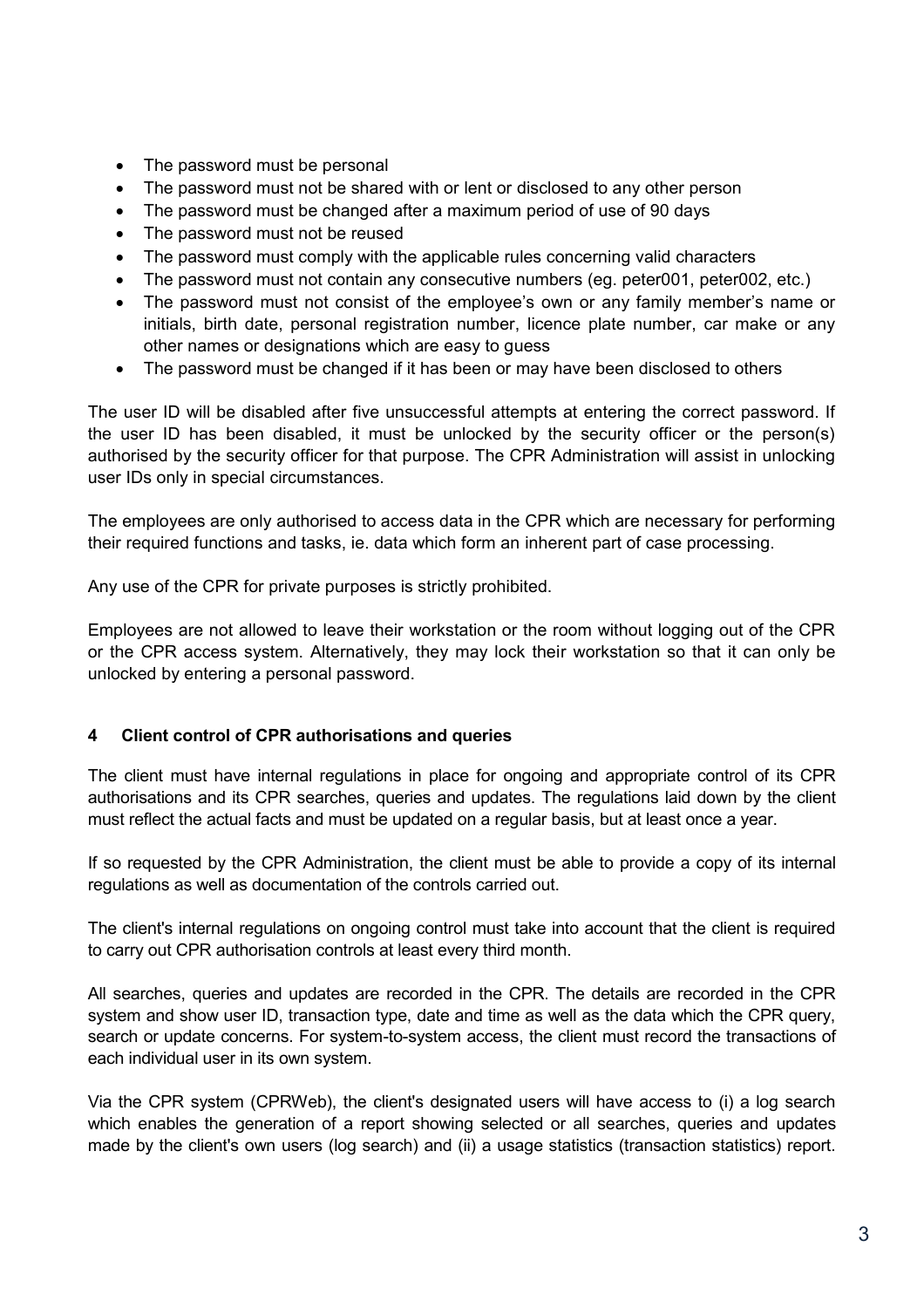- The password must be personal
- The password must not be shared with or lent or disclosed to any other person
- The password must be changed after a maximum period of use of 90 days
- The password must not be reused
- The password must comply with the applicable rules concerning valid characters
- The password must not contain any consecutive numbers (eg. peter001, peter002, etc.)
- The password must not consist of the employee's own or any family member's name or initials, birth date, personal registration number, licence plate number, car make or any other names or designations which are easy to guess
- The password must be changed if it has been or may have been disclosed to others

The user ID will be disabled after five unsuccessful attempts at entering the correct password. If the user ID has been disabled, it must be unlocked by the security officer or the person(s) authorised by the security officer for that purpose. The CPR Administration will assist in unlocking user IDs only in special circumstances.

The employees are only authorised to access data in the CPR which are necessary for performing their required functions and tasks, ie. data which form an inherent part of case processing.

Any use of the CPR for private purposes is strictly prohibited.

Employees are not allowed to leave their workstation or the room without logging out of the CPR or the CPR access system. Alternatively, they may lock their workstation so that it can only be unlocked by entering a personal password.

#### **4 Client control of CPR authorisations and queries**

The client must have internal regulations in place for ongoing and appropriate control of its CPR authorisations and its CPR searches, queries and updates. The regulations laid down by the client must reflect the actual facts and must be updated on a regular basis, but at least once a year.

If so requested by the CPR Administration, the client must be able to provide a copy of its internal regulations as well as documentation of the controls carried out.

The client's internal regulations on ongoing control must take into account that the client is required to carry out CPR authorisation controls at least every third month.

All searches, queries and updates are recorded in the CPR. The details are recorded in the CPR system and show user ID, transaction type, date and time as well as the data which the CPR query, search or update concerns. For system-to-system access, the client must record the transactions of each individual user in its own system.

Via the CPR system (CPRWeb), the client's designated users will have access to (i) a log search which enables the generation of a report showing selected or all searches, queries and updates made by the client's own users (log search) and (ii) a usage statistics (transaction statistics) report.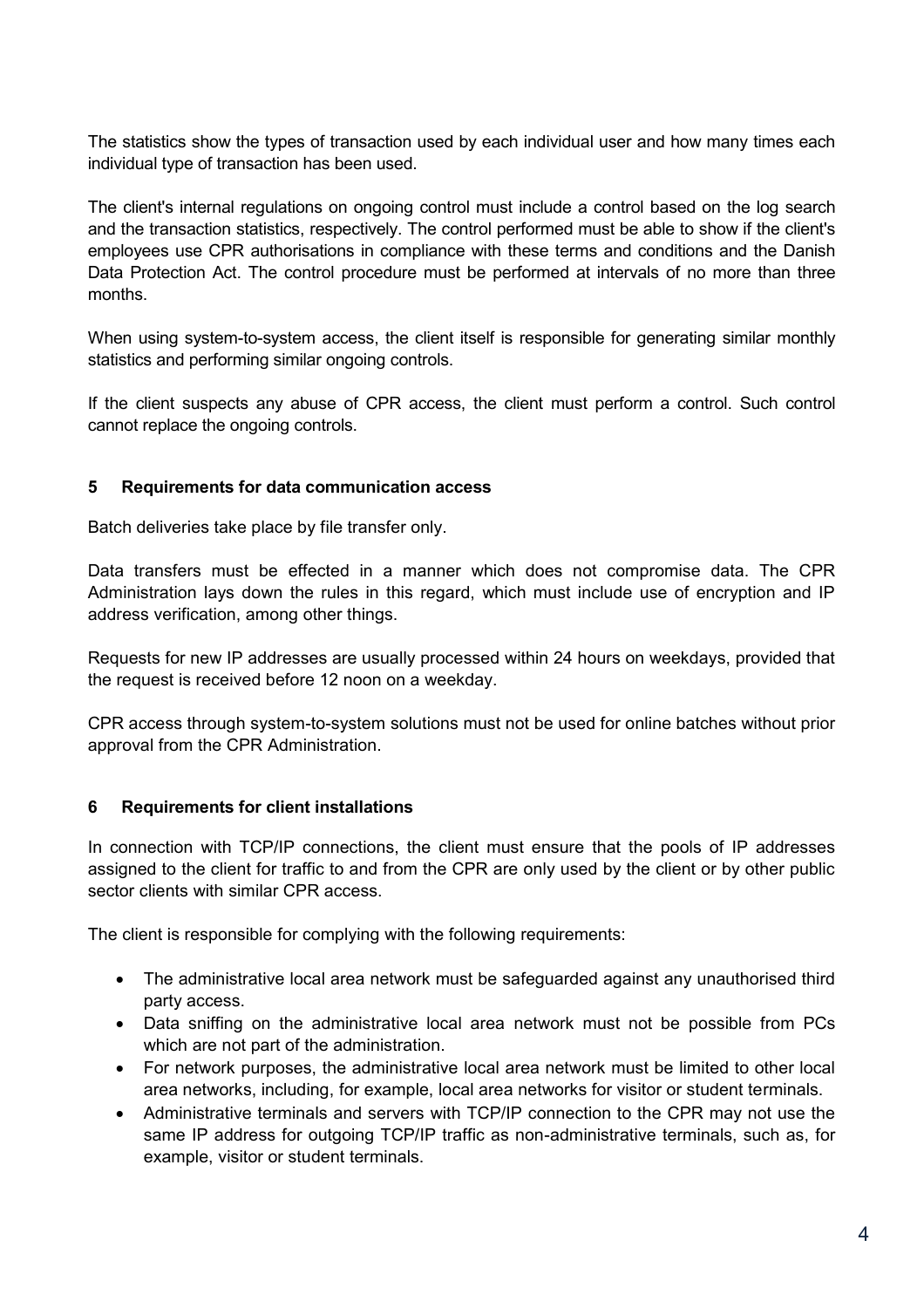The statistics show the types of transaction used by each individual user and how many times each individual type of transaction has been used.

The client's internal regulations on ongoing control must include a control based on the log search and the transaction statistics, respectively. The control performed must be able to show if the client's employees use CPR authorisations in compliance with these terms and conditions and the Danish Data Protection Act. The control procedure must be performed at intervals of no more than three months.

When using system-to-system access, the client itself is responsible for generating similar monthly statistics and performing similar ongoing controls.

If the client suspects any abuse of CPR access, the client must perform a control. Such control cannot replace the ongoing controls.

### **5 Requirements for data communication access**

Batch deliveries take place by file transfer only.

Data transfers must be effected in a manner which does not compromise data. The CPR Administration lays down the rules in this regard, which must include use of encryption and IP address verification, among other things.

Requests for new IP addresses are usually processed within 24 hours on weekdays, provided that the request is received before 12 noon on a weekday.

CPR access through system-to-system solutions must not be used for online batches without prior approval from the CPR Administration.

#### **6 Requirements for client installations**

In connection with TCP/IP connections, the client must ensure that the pools of IP addresses assigned to the client for traffic to and from the CPR are only used by the client or by other public sector clients with similar CPR access.

The client is responsible for complying with the following requirements:

- The administrative local area network must be safeguarded against any unauthorised third party access.
- Data sniffing on the administrative local area network must not be possible from PCs which are not part of the administration.
- For network purposes, the administrative local area network must be limited to other local area networks, including, for example, local area networks for visitor or student terminals.
- Administrative terminals and servers with TCP/IP connection to the CPR may not use the same IP address for outgoing TCP/IP traffic as non-administrative terminals, such as, for example, visitor or student terminals.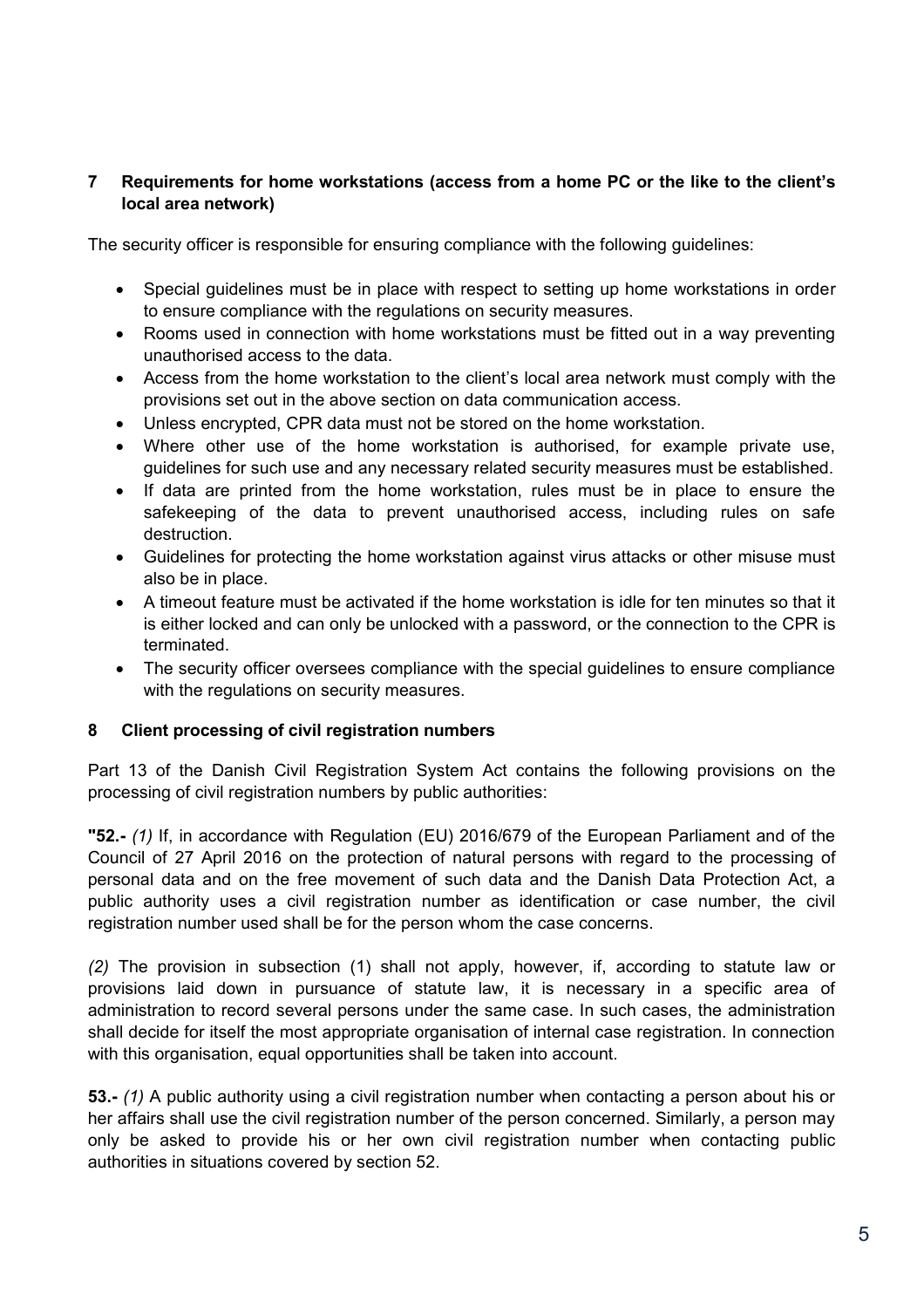## **7 Requirements for home workstations (access from a home PC or the like to the client's local area network)**

The security officer is responsible for ensuring compliance with the following guidelines:

- Special guidelines must be in place with respect to setting up home workstations in order to ensure compliance with the regulations on security measures.
- Rooms used in connection with home workstations must be fitted out in a way preventing unauthorised access to the data.
- Access from the home workstation to the client's local area network must comply with the provisions set out in the above section on data communication access.
- Unless encrypted, CPR data must not be stored on the home workstation.
- Where other use of the home workstation is authorised, for example private use, guidelines for such use and any necessary related security measures must be established.
- If data are printed from the home workstation, rules must be in place to ensure the safekeeping of the data to prevent unauthorised access, including rules on safe destruction.
- Guidelines for protecting the home workstation against virus attacks or other misuse must also be in place.
- A timeout feature must be activated if the home workstation is idle for ten minutes so that it is either locked and can only be unlocked with a password, or the connection to the CPR is terminated.
- The security officer oversees compliance with the special guidelines to ensure compliance with the regulations on security measures.

## **8 Client processing of civil registration numbers**

Part 13 of the Danish Civil Registration System Act contains the following provisions on the processing of civil registration numbers by public authorities:

**"52.-** *(1)* If, in accordance with Regulation (EU) 2016/679 of the European Parliament and of the Council of 27 April 2016 on the protection of natural persons with regard to the processing of personal data and on the free movement of such data and the Danish Data Protection Act, a public authority uses a civil registration number as identification or case number, the civil registration number used shall be for the person whom the case concerns.

*(2)* The provision in subsection (1) shall not apply, however, if, according to statute law or provisions laid down in pursuance of statute law, it is necessary in a specific area of administration to record several persons under the same case. In such cases, the administration shall decide for itself the most appropriate organisation of internal case registration. In connection with this organisation, equal opportunities shall be taken into account.

**53.-** *(1)* A public authority using a civil registration number when contacting a person about his or her affairs shall use the civil registration number of the person concerned. Similarly, a person may only be asked to provide his or her own civil registration number when contacting public authorities in situations covered by section 52.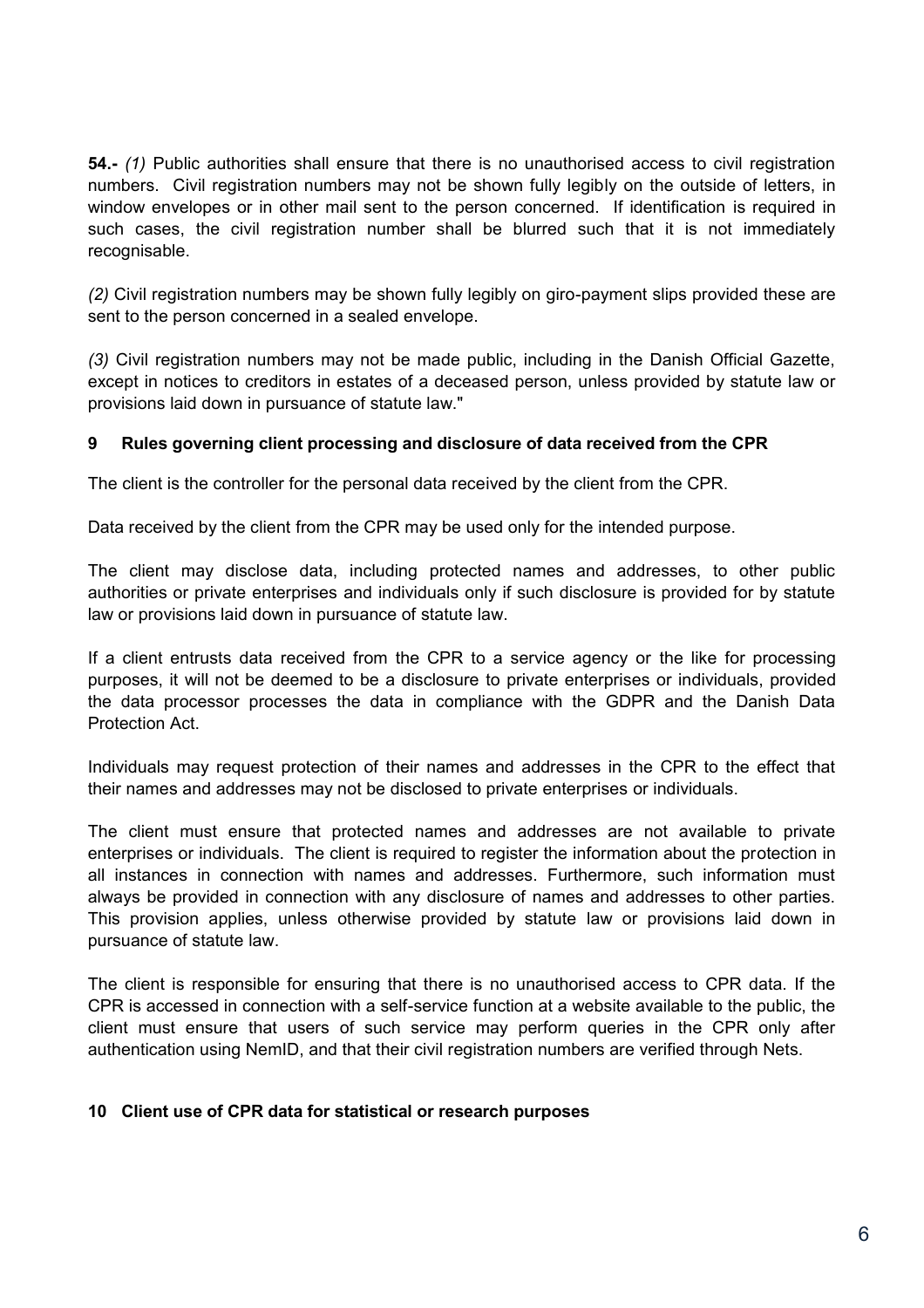**54.-** *(1)* Public authorities shall ensure that there is no unauthorised access to civil registration numbers. Civil registration numbers may not be shown fully legibly on the outside of letters, in window envelopes or in other mail sent to the person concerned. If identification is required in such cases, the civil registration number shall be blurred such that it is not immediately recognisable.

*(2)* Civil registration numbers may be shown fully legibly on giro-payment slips provided these are sent to the person concerned in a sealed envelope.

*(3)* Civil registration numbers may not be made public, including in the Danish Official Gazette, except in notices to creditors in estates of a deceased person, unless provided by statute law or provisions laid down in pursuance of statute law."

## **9 Rules governing client processing and disclosure of data received from the CPR**

The client is the controller for the personal data received by the client from the CPR.

Data received by the client from the CPR may be used only for the intended purpose.

The client may disclose data, including protected names and addresses, to other public authorities or private enterprises and individuals only if such disclosure is provided for by statute law or provisions laid down in pursuance of statute law.

If a client entrusts data received from the CPR to a service agency or the like for processing purposes, it will not be deemed to be a disclosure to private enterprises or individuals, provided the data processor processes the data in compliance with the GDPR and the Danish Data Protection Act.

Individuals may request protection of their names and addresses in the CPR to the effect that their names and addresses may not be disclosed to private enterprises or individuals.

The client must ensure that protected names and addresses are not available to private enterprises or individuals. The client is required to register the information about the protection in all instances in connection with names and addresses. Furthermore, such information must always be provided in connection with any disclosure of names and addresses to other parties. This provision applies, unless otherwise provided by statute law or provisions laid down in pursuance of statute law.

The client is responsible for ensuring that there is no unauthorised access to CPR data. If the CPR is accessed in connection with a self-service function at a website available to the public, the client must ensure that users of such service may perform queries in the CPR only after authentication using NemID, and that their civil registration numbers are verified through Nets.

#### **10 Client use of CPR data for statistical or research purposes**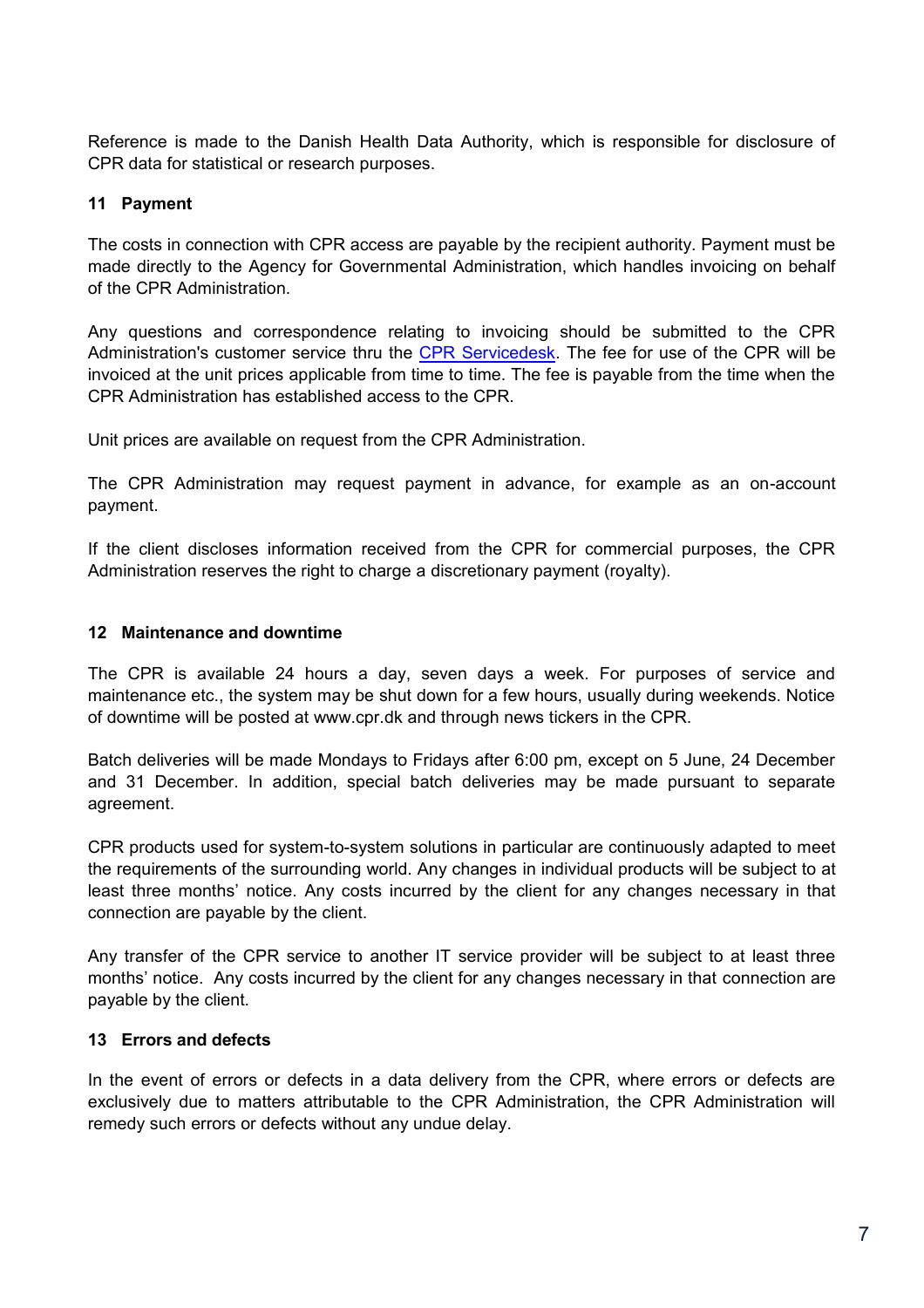Reference is made to the Danish Health Data Authority, which is responsible for disclosure of CPR data for statistical or research purposes.

## **11 Payment**

The costs in connection with CPR access are payable by the recipient authority. Payment must be made directly to the Agency for Governmental Administration, which handles invoicing on behalf of the CPR Administration.

Any questions and correspondence relating to invoicing should be submitted to the CPR Administration's customer service thru the [CPR Servicedesk.](https://cpr.dk/sd) The fee for use of the CPR will be invoiced at the unit prices applicable from time to time. The fee is payable from the time when the CPR Administration has established access to the CPR.

Unit prices are available on request from the CPR Administration.

The CPR Administration may request payment in advance, for example as an on-account payment.

If the client discloses information received from the CPR for commercial purposes, the CPR Administration reserves the right to charge a discretionary payment (royalty).

### **12 Maintenance and downtime**

The CPR is available 24 hours a day, seven days a week. For purposes of service and maintenance etc., the system may be shut down for a few hours, usually during weekends. Notice of downtime will be posted at www.cpr.dk and through news tickers in the CPR.

Batch deliveries will be made Mondays to Fridays after 6:00 pm, except on 5 June, 24 December and 31 December. In addition, special batch deliveries may be made pursuant to separate agreement.

CPR products used for system-to-system solutions in particular are continuously adapted to meet the requirements of the surrounding world. Any changes in individual products will be subject to at least three months' notice. Any costs incurred by the client for any changes necessary in that connection are payable by the client.

Any transfer of the CPR service to another IT service provider will be subject to at least three months' notice. Any costs incurred by the client for any changes necessary in that connection are payable by the client.

#### **13 Errors and defects**

In the event of errors or defects in a data delivery from the CPR, where errors or defects are exclusively due to matters attributable to the CPR Administration, the CPR Administration will remedy such errors or defects without any undue delay.